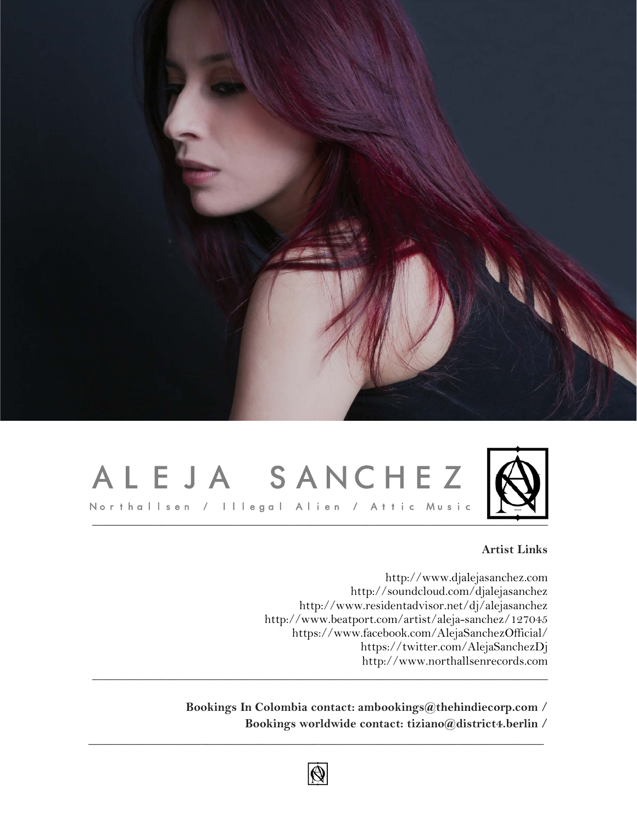

## ALEJA SANCHEZ



### **Artist Links**

[http://www.djalejasanchez.com](http://www.djalejasanchez.com/) <http://soundcloud.com/djalejasanchez> <http://www.residentadvisor.net/dj/alejasanchez> <http://www.beatport.com/artist/aleja-sanchez/127045> <https://www.facebook.com/AlejaSanchezOfficial/> <https://twitter.com/AlejaSanchezDj> [http://www.northallsenrecords.com](http://www.northallsenrecords.com/) \_\_\_\_\_\_\_\_\_\_\_\_\_\_\_\_\_\_\_\_\_\_\_\_\_\_\_\_\_\_\_\_\_\_\_\_\_\_\_\_\_\_\_\_\_\_\_\_\_\_\_\_\_\_\_\_\_\_\_\_\_\_\_\_\_\_\_\_\_\_\_\_\_

> **Bookings In Colombia contact: ambookings@thehindiecorp.com / Bookings worldwide contact: tiziano@district4.berlin /**



 $\_$  , and the set of the set of the set of the set of the set of the set of the set of the set of the set of the set of the set of the set of the set of the set of the set of the set of the set of the set of the set of th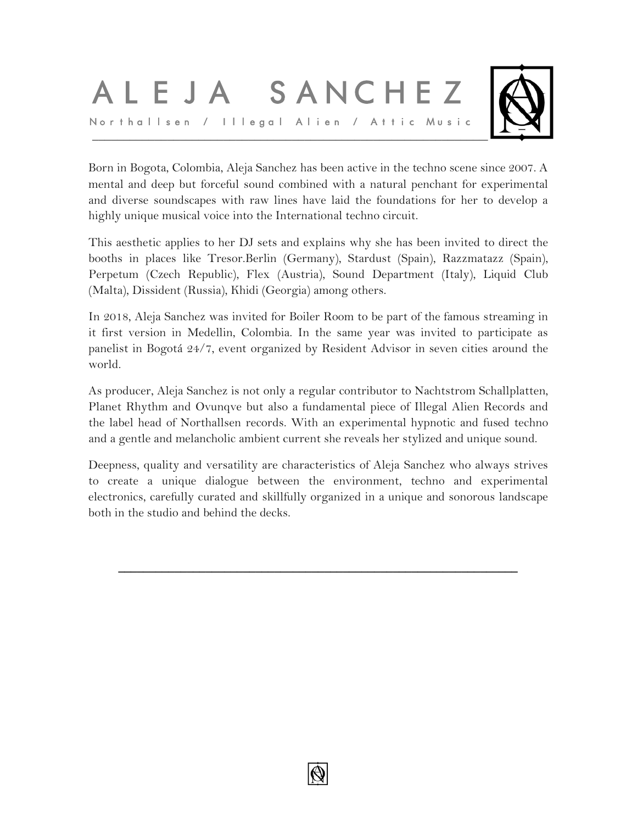# ALEJA SANCHEZ



Born in Bogota, Colombia, Aleja Sanchez has been active in the techno scene since 2007. A mental and deep but forceful sound combined with a natural penchant for experimental and diverse soundscapes with raw lines have laid the foundations for her to develop a highly unique musical voice into the International techno circuit.

This aesthetic applies to her DJ sets and explains why she has been invited to direct the booths in places like Tresor.Berlin (Germany), Stardust (Spain), Razzmatazz (Spain), Perpetum (Czech Republic), Flex (Austria), Sound Department (Italy), Liquid Club (Malta), Dissident (Russia), Khidi (Georgia) among others.

In 2018, Aleja Sanchez was invited for Boiler Room to be part of the famous streaming in it first version in Medellin, Colombia. In the same year was invited to participate as panelist in Bogotá 24/7, event organized by Resident Advisor in seven cities around the world.

As producer, Aleja Sanchez is not only a regular contributor to Nachtstrom Schallplatten, Planet Rhythm and Ovunqve but also a fundamental piece of Illegal Alien Records and the label head of Northallsen records. With an experimental hypnotic and fused techno and a gentle and melancholic ambient current she reveals her stylized and unique sound.

Deepness, quality and versatility are characteristics of Aleja Sanchez who always strives to create a unique dialogue between the environment, techno and experimental electronics, carefully curated and skillfully organized in a unique and sonorous landscape both in the studio and behind the decks.

**\_\_\_\_\_\_\_\_\_\_\_\_\_\_\_\_\_\_\_\_\_\_\_\_\_\_\_\_\_\_\_\_\_\_\_\_\_\_\_\_\_\_\_\_\_\_\_\_\_\_\_\_\_\_\_\_\_\_\_\_\_\_\_\_**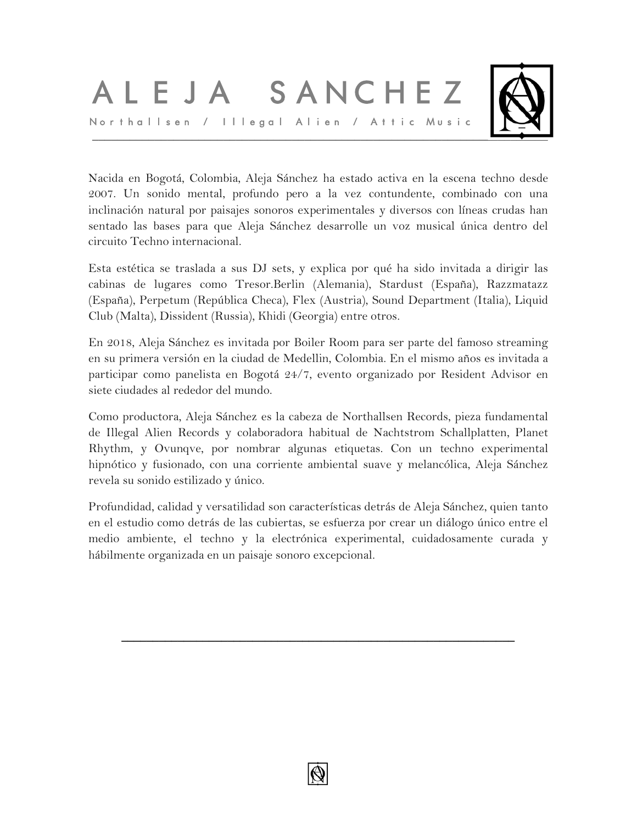## ALEJA SANCHEZ Northallsen / Illegal Alien / Attic Music



Nacida en Bogotá, Colombia, Aleja Sánchez ha estado activa en la escena techno desde 2007. Un sonido mental, profundo pero a la vez contundente, combinado con una inclinación natural por paisajes sonoros experimentales y diversos con líneas crudas han sentado las bases para que Aleja Sánchez desarrolle un voz musical única dentro del circuito Techno internacional.

Esta estética se traslada a sus DJ sets, y explica por qué ha sido invitada a dirigir las cabinas de lugares como Tresor.Berlin (Alemania), Stardust (España), Razzmatazz (España), Perpetum (República Checa), Flex (Austria), Sound Department (Italia), Liquid Club (Malta), Dissident (Russia), Khidi (Georgia) entre otros.

En 2018, Aleja Sánchez es invitada por Boiler Room para ser parte del famoso streaming en su primera versión en la ciudad de Medellin, Colombia. En el mismo años es invitada a participar como panelista en Bogotá 24/7, evento organizado por Resident Advisor en siete ciudades al rededor del mundo.

Como productora, Aleja Sánchez es la cabeza de Northallsen Records, pieza fundamental de Illegal Alien Records y colaboradora habitual de Nachtstrom Schallplatten, Planet Rhythm, y Ovunqve, por nombrar algunas etiquetas. Con un techno experimental hipnótico y fusionado, con una corriente ambiental suave y melancólica, Aleja Sánchez revela su sonido estilizado y único.

Profundidad, calidad y versatilidad son características detrás de Aleja Sánchez, quien tanto en el estudio como detrás de las cubiertas, se esfuerza por crear un diálogo único entre el medio ambiente, el techno y la electrónica experimental, cuidadosamente curada y hábilmente organizada en un paisaje sonoro excepcional.

**\_\_\_\_\_\_\_\_\_\_\_\_\_\_\_\_\_\_\_\_\_\_\_\_\_\_\_\_\_\_\_\_\_\_\_\_\_\_\_\_\_\_\_\_\_\_\_\_\_\_\_\_\_\_\_\_\_\_\_\_\_\_\_**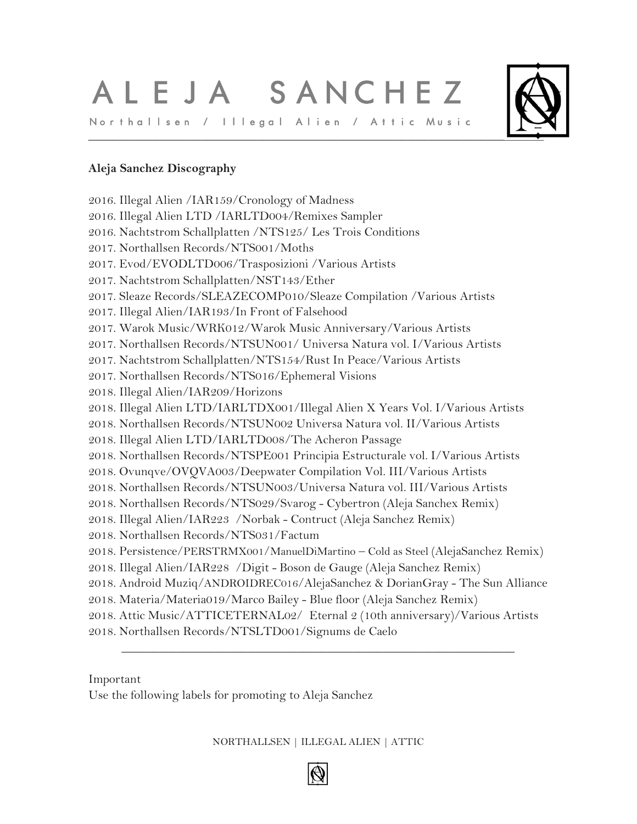## ALEJA SANCHEZ Northallsen / Illegal Alien / Attic Music



## **Aleja Sanchez Discography**

2016. Illegal Alien /IAR159/Cronology of Madness 2016. Illegal Alien LTD /IARLTD004/Remixes Sampler 2016. Nachtstrom Schallplatten /NTS125/ Les Trois Conditions 2017. Northallsen Records/NTS001/Moths 2017. Evod/EVODLTD006/Trasposizioni /Various Artists 2017. Nachtstrom Schallplatten/NST143/Ether 2017. Sleaze Records/SLEAZECOMP010/Sleaze Compilation /Various Artists 2017. Illegal Alien/IAR193/In Front of Falsehood 2017. Warok Music/WRK012/Warok Music Anniversary/Various Artists 2017. Northallsen Records/NTSUN001/ Universa Natura vol. I/Various Artists 2017. Nachtstrom Schallplatten/NTS154/Rust In Peace/Various Artists 2017. Northallsen Records/NTS016/Ephemeral Visions 2018. Illegal Alien/IAR209/Horizons 2018. Illegal Alien LTD/IARLTDX001/Illegal Alien X Years Vol. I/Various Artists 2018. Northallsen Records/NTSUN002 Universa Natura vol. II/Various Artists 2018. Illegal Alien LTD/IARLTD008/The Acheron Passage 2018. Northallsen Records/NTSPE001 Principia Estructurale vol. I/Various Artists 2018. Ovunqve/OVQVA003/Deepwater Compilation Vol. III/Various Artists 2018. Northallsen Records/NTSUN003/Universa Natura vol. III/Various Artists 2018. Northallsen Records/NTS029/Svarog - Cybertron (Aleja Sanchex Remix) 2018. Illegal Alien/IAR223 /Norbak - Contruct (Aleja Sanchez Remix) 2018. Northallsen Records/NTS031/Factum 2018. Persistence/PERSTRMX001/ManuelDiMartino – Cold as Steel (AlejaSanchez Remix) 2018. Illegal Alien/IAR228 /Digit - Boson de Gauge (Aleja Sanchez Remix) 2018. Android Muziq/ANDROIDREC016/AlejaSanchez & DorianGray - The Sun Alliance 2018. Materia/Materia019/Marco Bailey - Blue floor (Aleja Sanchez Remix) 2018. Attic Music/ATTICETERNAL02/ Eternal 2 (10th anniversary)/Various Artists 2018. Northallsen Records/NTSLTD001/Signums de Caelo

Important

Use the following labels for promoting to Aleja Sanchez

### NORTHALLSEN | ILLEGAL ALIEN | ATTIC

\_\_\_\_\_\_\_\_\_\_\_\_\_\_\_\_\_\_\_\_\_\_\_\_\_\_\_\_\_\_\_\_\_\_\_\_\_\_\_\_\_\_\_\_\_\_\_\_\_\_\_\_\_\_\_\_\_\_\_\_\_\_\_

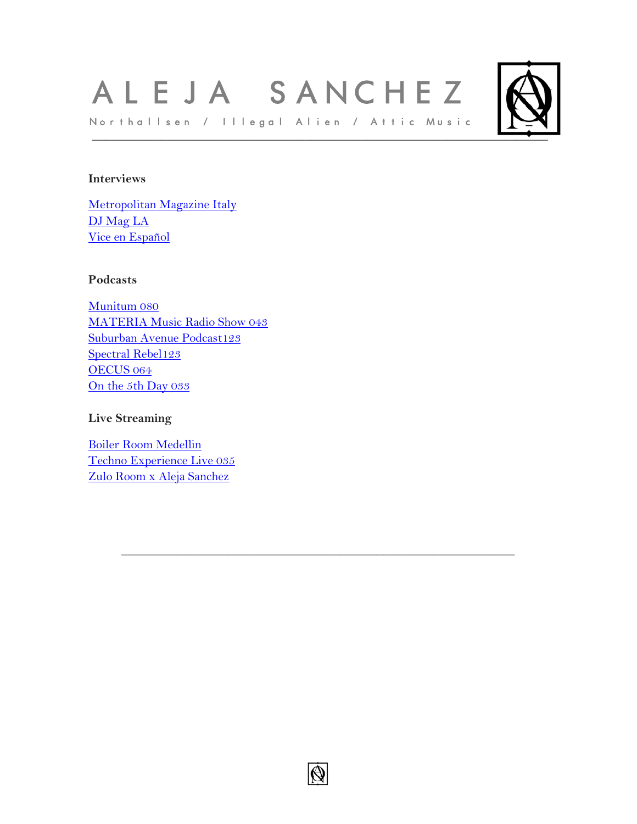## ALEJA SANCHEZ Northallsen / Illegal Alien / Attic Music



## **Interviews**

[Metropolitan](https://www.metropolitanmagazine.it/aleja-sanchez-posidonia/?fbclid=IwAR3O16NwwPR9vhAUZTwR1H84E2dGhnqeP_MQqbkCx5KFMQR4jiUlc6qgRyQ) Magazine Italy DJ [Mag](http://djmagla.com/aleja-sanchez-musica-situaciones/) LA Vice en [Español](https://noisey.vice.com/es/article/3k44dw/techno-bogota-aleja-sanchez)

#### **Podcasts**

[Munitum](https://soundcloud.com/user-40760635/munitum-080-aleja-sanchez) 080 [MATERIA](https://soundcloud.com/marco-bailey/materia-music-radio-show-043-with-aleja-sanchez) Music Radio Show 043 [Suburban](https://soundcloud.com/suburban-avenue/suburban-mix-123-aleja-sanchez) Avenue Podcast123 [Spectral](https://soundcloud.com/spectral-rebel/spectral-rebel-podcast-123-aleja-sanchez) Rebel123 [OECUS](https://soundcloud.com/oecusmusic/oecus-aleja-sanchez) 064 On the 5th [Day](https://soundcloud.com/onthe5thday/on-the-5th-day-podcast-033-aleja-sanchez) 033

### **Live Streaming**

Boiler Room [Medellin](https://www.youtube.com/watch?v=HKXGNS-cmV4) Techno [Experience](https://www.youtube.com/watch?v=Cw3tKxBO36U&t=6s) Live 035 Zulo Room x Aleja [Sanchez](https://www.youtube.com/watch?v=i2_SgoVJ0VE&t=1379s)



 $\mathcal{L}_\text{max}$  and  $\mathcal{L}_\text{max}$  and  $\mathcal{L}_\text{max}$  and  $\mathcal{L}_\text{max}$  and  $\mathcal{L}_\text{max}$